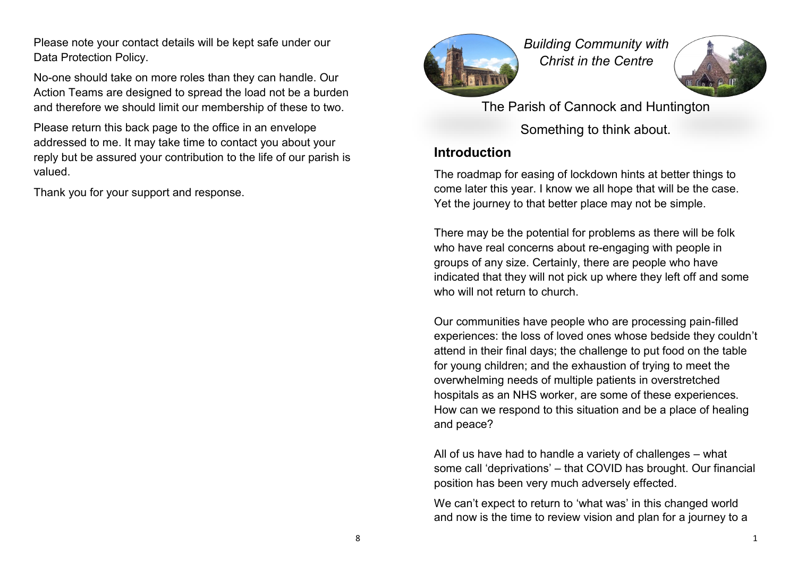Please note your contact details will be kept safe under our Data Protection Policy.

No-one should take on more roles than they can handle. Our Action Teams are designed to spread the load not be a burden and therefore we should limit our membership of these to two.

Please return this back page to the office in an envelope addressed to me. It may take time to contact you about your reply but be assured your contribution to the life of our parish is valued.

Thank you for your support and response.



*Building Community with Christ in the Centre*



The Parish of Cannock and Huntington Something to think about.

## **Introduction**

The roadmap for easing of lockdown hints at better things to come later this year. I know we all hope that will be the case. Yet the journey to that better place may not be simple.

There may be the potential for problems as there will be folk who have real concerns about re-engaging with people in groups of any size. Certainly, there are people who have indicated that they will not pick up where they left off and some who will not return to church.

Our communities have people who are processing pain-filled experiences: the loss of loved ones whose bedside they couldn't attend in their final days; the challenge to put food on the table for young children; and the exhaustion of trying to meet the overwhelming needs of multiple patients in overstretched hospitals as an NHS worker, are some of these experiences. How can we respond to this situation and be a place of healing and peace?

All of us have had to handle a variety of challenges – what some call 'deprivations' – that COVID has brought. Our financial position has been very much adversely effected.

We can't expect to return to 'what was' in this changed world and now is the time to review vision and plan for a journey to a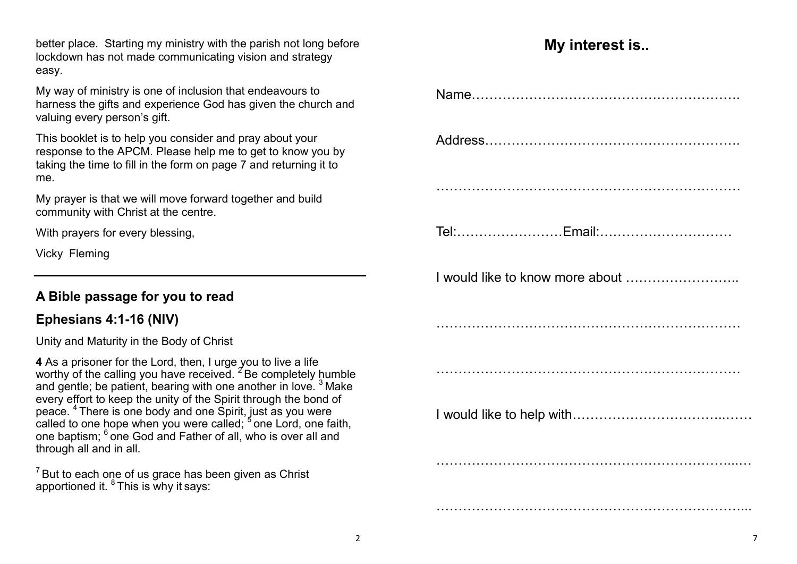better place. Starting my ministry with the parish not long before lockdown has not made communicating vision and strategy easy.

My way of ministry is one of inclusion that endeavours to harness the gifts and experience God has given the church and valuing every person's gift.

This booklet is to help you consider and pray about your response to the APCM. Please help me to get to know you by taking the time to fill in the form on page 7 and returning it to me.

My prayer is that we will move forward together and build community with Christ at the centre.

With prayers for every blessing,

Vicky Fleming

# **A Bible passage for you to read**

# **Ephesians 4:1-16 (NIV)**

Unity and Maturity in the Body of Christ

**4** As a prisoner for the Lord, then, I urge you to live a life worthy of the calling you have received.<sup>2</sup> Be completely humble and gentle; be patient, bearing with one another in love. <sup>3</sup> Make every effort to keep the unity of the Spirit through the bond of peace. <sup>4</sup> There is one body and one Spirit, just as you were called to one hope when you were called;  $^5$  one Lord, one faith, one baptism;  $^6$  one God and Father of all, who is over all and through all and in all.

 $7$  But to each one of us grace has been given as Christ apportioned it.  ${}^{8}$  This is why it says:

# **My interest is..**

| I would like to know more about |
|---------------------------------|
|                                 |
|                                 |
|                                 |
|                                 |
|                                 |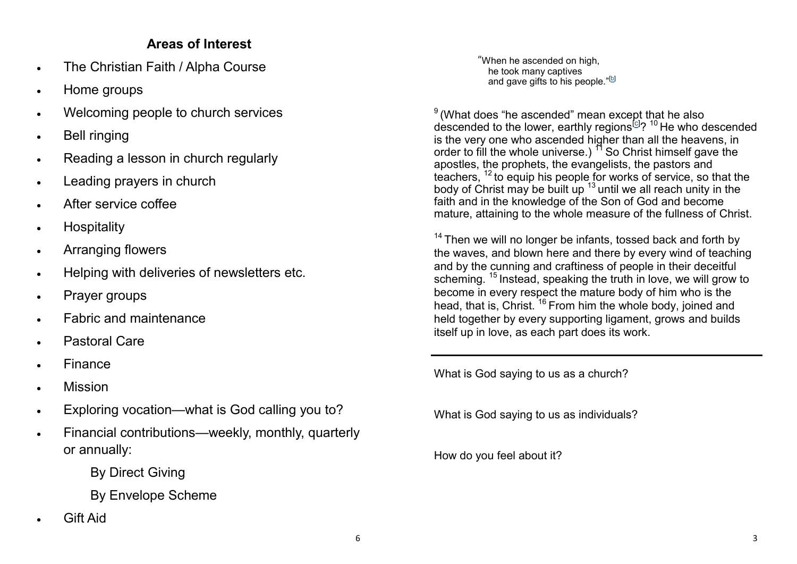## **Areas of Interest**

- The Christian Faith / Alpha Course
- Home groups
- Welcoming people to church services
- Bell ringing
- Reading a lesson in church regularly
- Leading prayers in church
- After service coffee
- **•** Hospitality
- Arranging flowers
- Helping with deliveries of newsletters etc.
- Prayer groups
- Fabric and maintenance
- Pastoral Care
- Finance
- Mission
- Exploring vocation—what is God calling you to?
- Financial contributions—weekly, monthly, quarterly or annually:

By Direct Giving

By Envelope Scheme

Gift Aid

"When he ascended on high, he took many captives and gave gifts to his people."<sup>[<u>b</u>]</sup>

 $^9$ (What does "he ascended" mean except that he also descended to the lower, earthly regions<sup>[\[c\]](https://www.biblegateway.com/passage/?search=Ephesians%204:1-16&version=NIV#fen-NIV-29282c)</sup>? <sup>10</sup> He who descended is the very one who ascended higher than all the heavens, in order to fill the whole universe.)  $<sup>11</sup>$  So Christ himself gave the</sup> apostles, the prophets, the evangelists, the pastors and teachers, <sup>12</sup> to equip his people for works of service, so that the body of Christ may be built up  $13$  until we all reach unity in the faith and in the knowledge of the Son of God and become mature, attaining to the whole measure of the fullness of Christ.

 $14$  Then we will no longer be infants, tossed back and forth by the waves, and blown here and there by every wind of teaching and by the cunning and craftiness of people in their deceitful scheming. <sup>15</sup> Instead, speaking the truth in love, we will grow to become in every respect the mature body of him who is the head, that is, Christ.<sup>16</sup> From him the whole body, joined and held together by every supporting ligament, grows and builds itself up in love, as each part does its work.

What is God saying to us as a church?

What is God saying to us as individuals?

How do you feel about it?